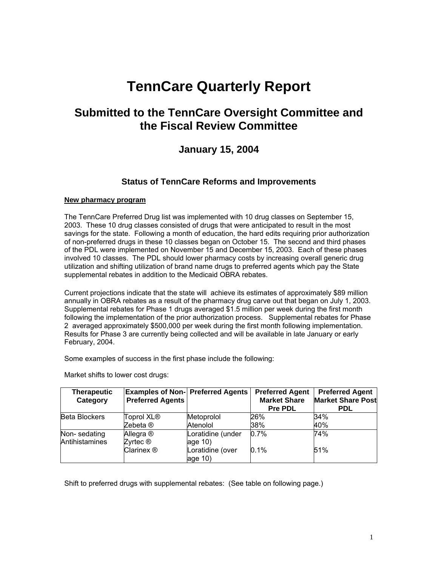# **TennCare Quarterly Report**

# **Submitted to the TennCare Oversight Committee and the Fiscal Review Committee**

# **January 15, 2004**

# **Status of TennCare Reforms and Improvements**

#### **New pharmacy program**

The TennCare Preferred Drug list was implemented with 10 drug classes on September 15, 2003. These 10 drug classes consisted of drugs that were anticipated to result in the most savings for the state. Following a month of education, the hard edits requiring prior authorization of non-preferred drugs in these 10 classes began on October 15. The second and third phases of the PDL were implemented on November 15 and December 15, 2003. Each of these phases involved 10 classes. The PDL should lower pharmacy costs by increasing overall generic drug utilization and shifting utilization of brand name drugs to preferred agents which pay the State supplemental rebates in addition to the Medicaid OBRA rebates.

Current projections indicate that the state will achieve its estimates of approximately \$89 million annually in OBRA rebates as a result of the pharmacy drug carve out that began on July 1, 2003. Supplemental rebates for Phase 1 drugs averaged \$1.5 million per week during the first month following the implementation of the prior authorization process. Supplemental rebates for Phase 2 averaged approximately \$500,000 per week during the first month following implementation. Results for Phase 3 are currently being collected and will be available in late January or early February, 2004.

Some examples of success in the first phase include the following:

Market shifts to lower cost drugs:

| <b>Therapeutic</b>   |                         | <b>Examples of Non- Preferred Agents</b> | <b>Preferred Agent</b> | <b>Preferred Agent</b>   |
|----------------------|-------------------------|------------------------------------------|------------------------|--------------------------|
| Category             | <b>Preferred Agents</b> |                                          | <b>Market Share</b>    | <b>Market Share Post</b> |
|                      |                         |                                          | <b>Pre PDL</b>         | <b>PDL</b>               |
| <b>Beta Blockers</b> | Toprol XL®              | Metoprolol                               | 26%                    | 34%                      |
|                      | Zebeta ®                | Atenolol                                 | 38%                    | 40%                      |
| Non-sedating         | Allegra ®               | Loratidine (under                        | 0.7%                   | 74%                      |
| Antihistamines       | Zyrtec ®                | age $10$ )                               |                        |                          |
|                      | Clarinex ®              | Loratidine (over                         | 0.1%                   | 51%                      |
|                      |                         | age 10)                                  |                        |                          |

Shift to preferred drugs with supplemental rebates: (See table on following page.)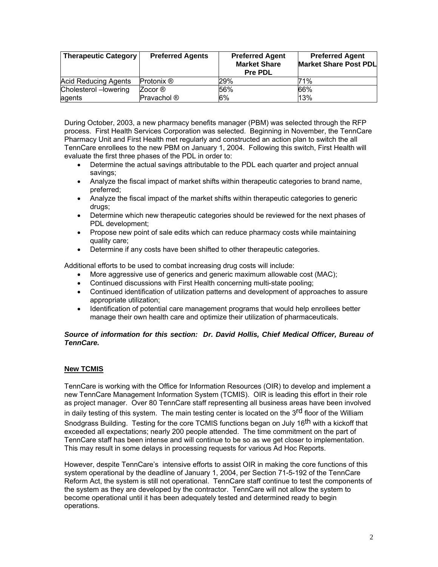| <b>Therapeutic Category</b> | <b>Preferred Agents</b> | <b>Preferred Agent</b><br><b>Market Share</b><br><b>Pre PDL</b> | <b>Preferred Agent</b><br>Market Share Post PDL |
|-----------------------------|-------------------------|-----------------------------------------------------------------|-------------------------------------------------|
| <b>Acid Reducing Agents</b> | Protonix ®              | 29%                                                             | 71%                                             |
| Cholesterol - lowering      | Zocor ®                 | 56%                                                             | 66%                                             |
| agents                      | Pravachol ®             | 6%                                                              | 13%                                             |

During October, 2003, a new pharmacy benefits manager (PBM) was selected through the RFP process. First Health Services Corporation was selected. Beginning in November, the TennCare Pharmacy Unit and First Health met regularly and constructed an action plan to switch the all TennCare enrollees to the new PBM on January 1, 2004. Following this switch, First Health will evaluate the first three phases of the PDL in order to:

- Determine the actual savings attributable to the PDL each quarter and project annual savings;
- Analyze the fiscal impact of market shifts within therapeutic categories to brand name, preferred;
- Analyze the fiscal impact of the market shifts within therapeutic categories to generic drugs;
- Determine which new therapeutic categories should be reviewed for the next phases of PDL development;
- Propose new point of sale edits which can reduce pharmacy costs while maintaining quality care;
- Determine if any costs have been shifted to other therapeutic categories.

Additional efforts to be used to combat increasing drug costs will include:

- More aggressive use of generics and generic maximum allowable cost (MAC);
- Continued discussions with First Health concerning multi-state pooling;
- Continued identification of utilization patterns and development of approaches to assure appropriate utilization;
- Identification of potential care management programs that would help enrollees better manage their own health care and optimize their utilization of pharmaceuticals.

#### *Source of information for this section: Dr. David Hollis, Chief Medical Officer, Bureau of TennCare.*

#### **New TCMIS**

TennCare is working with the Office for Information Resources (OIR) to develop and implement a new TennCare Management Information System (TCMIS). OIR is leading this effort in their role as project manager. Over 80 TennCare staff representing all business areas have been involved in daily testing of this system. The main testing center is located on the  $3<sup>rd</sup>$  floor of the William Snodgrass Building. Testing for the core TCMIS functions began on July 16<sup>th</sup> with a kickoff that exceeded all expectations; nearly 200 people attended. The time commitment on the part of TennCare staff has been intense and will continue to be so as we get closer to implementation. This may result in some delays in processing requests for various Ad Hoc Reports.

However, despite TennCare's intensive efforts to assist OIR in making the core functions of this system operational by the deadline of January 1, 2004, per Section 71-5-192 of the TennCare Reform Act, the system is still not operational. TennCare staff continue to test the components of the system as they are developed by the contractor. TennCare will not allow the system to become operational until it has been adequately tested and determined ready to begin operations.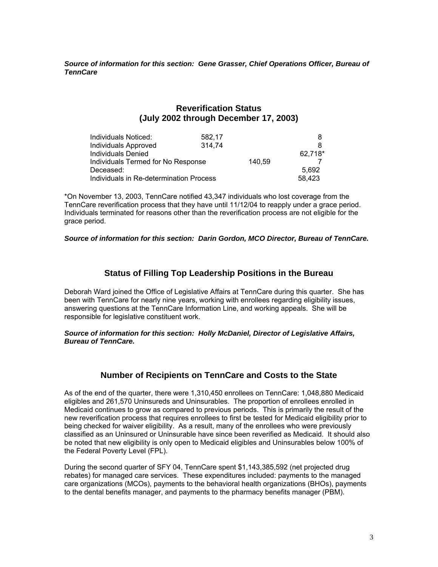*Source of information for this section: Gene Grasser, Chief Operations Officer, Bureau of TennCare* 

# **Reverification Status (July 2002 through December 17, 2003)**

| Individuals Noticed:                    | 582.17 |        |         |
|-----------------------------------------|--------|--------|---------|
| <b>Individuals Approved</b>             | 314.74 |        |         |
| <b>Individuals Denied</b>               |        |        | 62,718* |
| Individuals Termed for No Response      |        | 140.59 |         |
| Deceased:                               |        |        | 5.692   |
| Individuals in Re-determination Process |        |        | 58,423  |

\*On November 13, 2003, TennCare notified 43,347 individuals who lost coverage from the TennCare reverification process that they have until 11/12/04 to reapply under a grace period. Individuals terminated for reasons other than the reverification process are not eligible for the grace period.

#### *Source of information for this section: Darin Gordon, MCO Director, Bureau of TennCare.*

## **Status of Filling Top Leadership Positions in the Bureau**

Deborah Ward joined the Office of Legislative Affairs at TennCare during this quarter. She has been with TennCare for nearly nine years, working with enrollees regarding eligibility issues, answering questions at the TennCare Information Line, and working appeals. She will be responsible for legislative constituent work.

*Source of information for this section: Holly McDaniel, Director of Legislative Affairs, Bureau of TennCare.*

### **Number of Recipients on TennCare and Costs to the State**

As of the end of the quarter, there were 1,310,450 enrollees on TennCare: 1,048,880 Medicaid eligibles and 261,570 Uninsureds and Uninsurables. The proportion of enrollees enrolled in Medicaid continues to grow as compared to previous periods. This is primarily the result of the new reverification process that requires enrollees to first be tested for Medicaid eligibility prior to being checked for waiver eligibility. As a result, many of the enrollees who were previously classified as an Uninsured or Uninsurable have since been reverified as Medicaid. It should also be noted that new eligibility is only open to Medicaid eligibles and Uninsurables below 100% of the Federal Poverty Level (FPL).

During the second quarter of SFY 04, TennCare spent \$1,143,385,592 (net projected drug rebates) for managed care services. These expenditures included: payments to the managed care organizations (MCOs), payments to the behavioral health organizations (BHOs), payments to the dental benefits manager, and payments to the pharmacy benefits manager (PBM).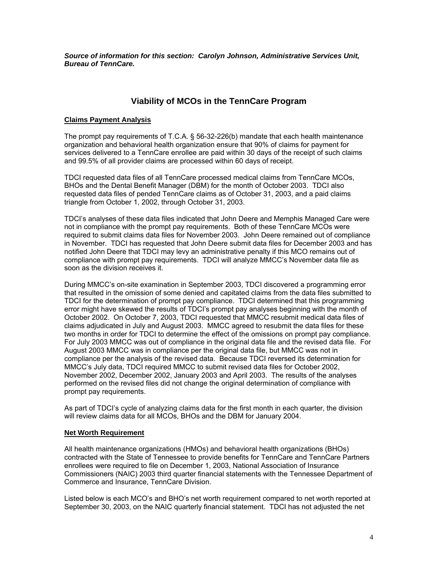*Source of information for this section: Carolyn Johnson, Administrative Services Unit, Bureau of TennCare.* 

# **Viability of MCOs in the TennCare Program**

#### **Claims Payment Analysis**

The prompt pay requirements of T.C.A. § 56-32-226(b) mandate that each health maintenance organization and behavioral health organization ensure that 90% of claims for payment for services delivered to a TennCare enrollee are paid within 30 days of the receipt of such claims and 99.5% of all provider claims are processed within 60 days of receipt.

TDCI requested data files of all TennCare processed medical claims from TennCare MCOs, BHOs and the Dental Benefit Manager (DBM) for the month of October 2003. TDCI also requested data files of pended TennCare claims as of October 31, 2003, and a paid claims triangle from October 1, 2002, through October 31, 2003.

TDCI's analyses of these data files indicated that John Deere and Memphis Managed Care were not in compliance with the prompt pay requirements. Both of these TennCare MCOs were required to submit claims data files for November 2003. John Deere remained out of compliance in November. TDCI has requested that John Deere submit data files for December 2003 and has notified John Deere that TDCI may levy an administrative penalty if this MCO remains out of compliance with prompt pay requirements. TDCI will analyze MMCC's November data file as soon as the division receives it.

During MMCC's on-site examination in September 2003, TDCI discovered a programming error that resulted in the omission of some denied and capitated claims from the data files submitted to TDCI for the determination of prompt pay compliance. TDCI determined that this programming error might have skewed the results of TDCI's prompt pay analyses beginning with the month of October 2002. On October 7, 2003, TDCI requested that MMCC resubmit medical data files of claims adjudicated in July and August 2003. MMCC agreed to resubmit the data files for these two months in order for TDCI to determine the effect of the omissions on prompt pay compliance. For July 2003 MMCC was out of compliance in the original data file and the revised data file. For August 2003 MMCC was in compliance per the original data file, but MMCC was not in compliance per the analysis of the revised data. Because TDCI reversed its determination for MMCC's July data, TDCI required MMCC to submit revised data files for October 2002, November 2002, December 2002, January 2003 and April 2003. The results of the analyses performed on the revised files did not change the original determination of compliance with prompt pay requirements.

As part of TDCI's cycle of analyzing claims data for the first month in each quarter, the division will review claims data for all MCOs, BHOs and the DBM for January 2004.

#### **Net Worth Requirement**

All health maintenance organizations (HMOs) and behavioral health organizations (BHOs) contracted with the State of Tennessee to provide benefits for TennCare and TennCare Partners enrollees were required to file on December 1, 2003, National Association of Insurance Commissioners (NAIC) 2003 third quarter financial statements with the Tennessee Department of Commerce and Insurance, TennCare Division.

Listed below is each MCO's and BHO's net worth requirement compared to net worth reported at September 30, 2003, on the NAIC quarterly financial statement. TDCI has not adjusted the net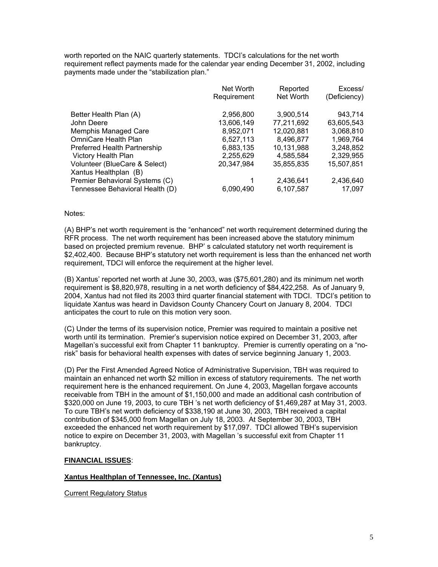worth reported on the NAIC quarterly statements. TDCI's calculations for the net worth requirement reflect payments made for the calendar year ending December 31, 2002, including payments made under the "stabilization plan."

|                                 | Net Worth   | Reported   | Excess/      |
|---------------------------------|-------------|------------|--------------|
|                                 | Requirement | Net Worth  | (Deficiency) |
| Better Health Plan (A)          | 2,956,800   | 3,900,514  | 943,714      |
| John Deere                      | 13,606,149  | 77,211,692 | 63,605,543   |
| Memphis Managed Care            | 8,952,071   | 12,020,881 | 3,068,810    |
| OmniCare Health Plan            | 6,527,113   | 8,496,877  | 1,969,764    |
| Preferred Health Partnership    | 6,883,135   | 10,131,988 | 3,248,852    |
| <b>Victory Health Plan</b>      | 2,255,629   | 4,585,584  | 2,329,955    |
| Volunteer (BlueCare & Select)   | 20,347,984  | 35,855,835 | 15,507,851   |
| Xantus Healthplan (B)           |             |            |              |
| Premier Behavioral Systems (C)  |             | 2,436,641  | 2,436,640    |
| Tennessee Behavioral Health (D) | 6,090,490   | 6,107,587  | 17,097       |

#### Notes:

(A) BHP's net worth requirement is the "enhanced" net worth requirement determined during the RFR process. The net worth requirement has been increased above the statutory minimum based on projected premium revenue. BHP' s calculated statutory net worth requirement is \$2,402,400. Because BHP's statutory net worth requirement is less than the enhanced net worth requirement, TDCI will enforce the requirement at the higher level.

(B) Xantus' reported net worth at June 30, 2003, was (\$75,601,280) and its minimum net worth requirement is \$8,820,978, resulting in a net worth deficiency of \$84,422,258. As of January 9, 2004, Xantus had not filed its 2003 third quarter financial statement with TDCI. TDCI's petition to liquidate Xantus was heard in Davidson County Chancery Court on January 8, 2004. TDCI anticipates the court to rule on this motion very soon.

(C) Under the terms of its supervision notice, Premier was required to maintain a positive net worth until its termination. Premier's supervision notice expired on December 31, 2003, after Magellan's successful exit from Chapter 11 bankruptcy. Premier is currently operating on a "norisk" basis for behavioral health expenses with dates of service beginning January 1, 2003.

(D) Per the First Amended Agreed Notice of Administrative Supervision, TBH was required to maintain an enhanced net worth \$2 million in excess of statutory requirements. The net worth requirement here is the enhanced requirement. On June 4, 2003, Magellan forgave accounts receivable from TBH in the amount of \$1,150,000 and made an additional cash contribution of \$320,000 on June 19, 2003, to cure TBH 's net worth deficiency of \$1,469,287 at May 31, 2003. To cure TBH's net worth deficiency of \$338,190 at June 30, 2003, TBH received a capital contribution of \$345,000 from Magellan on July 18, 2003. At September 30, 2003, TBH exceeded the enhanced net worth requirement by \$17,097. TDCI allowed TBH's supervision notice to expire on December 31, 2003, with Magellan 's successful exit from Chapter 11 bankruptcy.

#### **FINANCIAL ISSUES**:

#### **Xantus Healthplan of Tennessee, Inc. (Xantus)**

Current Regulatory Status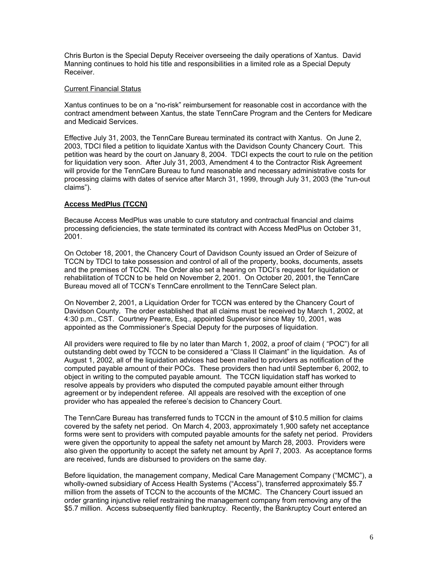Chris Burton is the Special Deputy Receiver overseeing the daily operations of Xantus. David Manning continues to hold his title and responsibilities in a limited role as a Special Deputy Receiver.

#### Current Financial Status

Xantus continues to be on a "no-risk" reimbursement for reasonable cost in accordance with the contract amendment between Xantus, the state TennCare Program and the Centers for Medicare and Medicaid Services.

Effective July 31, 2003, the TennCare Bureau terminated its contract with Xantus. On June 2, 2003, TDCI filed a petition to liquidate Xantus with the Davidson County Chancery Court. This petition was heard by the court on January 8, 2004. TDCI expects the court to rule on the petition for liquidation very soon. After July 31, 2003, Amendment 4 to the Contractor Risk Agreement will provide for the TennCare Bureau to fund reasonable and necessary administrative costs for processing claims with dates of service after March 31, 1999, through July 31, 2003 (the "run-out claims").

#### **Access MedPlus (TCCN)**

Because Access MedPlus was unable to cure statutory and contractual financial and claims processing deficiencies, the state terminated its contract with Access MedPlus on October 31, 2001.

On October 18, 2001, the Chancery Court of Davidson County issued an Order of Seizure of TCCN by TDCI to take possession and control of all of the property, books, documents, assets and the premises of TCCN. The Order also set a hearing on TDCI's request for liquidation or rehabilitation of TCCN to be held on November 2, 2001. On October 20, 2001, the TennCare Bureau moved all of TCCN's TennCare enrollment to the TennCare Select plan.

On November 2, 2001, a Liquidation Order for TCCN was entered by the Chancery Court of Davidson County. The order established that all claims must be received by March 1, 2002, at 4:30 p.m., CST. Courtney Pearre, Esq., appointed Supervisor since May 10, 2001, was appointed as the Commissioner's Special Deputy for the purposes of liquidation.

All providers were required to file by no later than March 1, 2002, a proof of claim ( "POC") for all outstanding debt owed by TCCN to be considered a "Class II Claimant" in the liquidation. As of August 1, 2002, all of the liquidation advices had been mailed to providers as notification of the computed payable amount of their POCs. These providers then had until September 6, 2002, to object in writing to the computed payable amount. The TCCN liquidation staff has worked to resolve appeals by providers who disputed the computed payable amount either through agreement or by independent referee. All appeals are resolved with the exception of one provider who has appealed the referee's decision to Chancery Court.

The TennCare Bureau has transferred funds to TCCN in the amount of \$10.5 million for claims covered by the safety net period. On March 4, 2003, approximately 1,900 safety net acceptance forms were sent to providers with computed payable amounts for the safety net period. Providers were given the opportunity to appeal the safety net amount by March 28, 2003. Providers were also given the opportunity to accept the safety net amount by April 7, 2003. As acceptance forms are received, funds are disbursed to providers on the same day.

Before liquidation, the management company, Medical Care Management Company ("MCMC"), a wholly-owned subsidiary of Access Health Systems ("Access"), transferred approximately \$5.7 million from the assets of TCCN to the accounts of the MCMC. The Chancery Court issued an order granting injunctive relief restraining the management company from removing any of the \$5.7 million. Access subsequently filed bankruptcy. Recently, the Bankruptcy Court entered an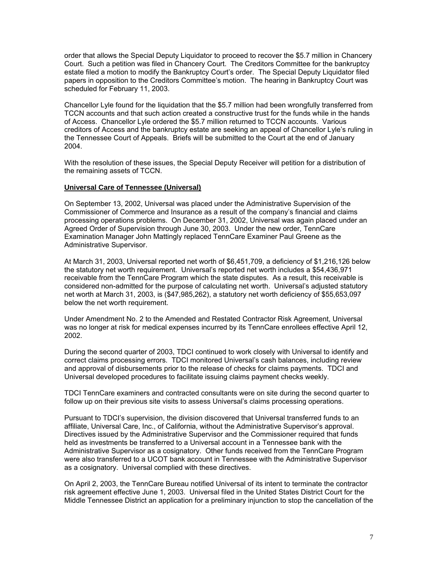order that allows the Special Deputy Liquidator to proceed to recover the \$5.7 million in Chancery Court. Such a petition was filed in Chancery Court. The Creditors Committee for the bankruptcy estate filed a motion to modify the Bankruptcy Court's order. The Special Deputy Liquidator filed papers in opposition to the Creditors Committee's motion. The hearing in Bankruptcy Court was scheduled for February 11, 2003.

Chancellor Lyle found for the liquidation that the \$5.7 million had been wrongfully transferred from TCCN accounts and that such action created a constructive trust for the funds while in the hands of Access. Chancellor Lyle ordered the \$5.7 million returned to TCCN accounts. Various creditors of Access and the bankruptcy estate are seeking an appeal of Chancellor Lyle's ruling in the Tennessee Court of Appeals. Briefs will be submitted to the Court at the end of January 2004.

With the resolution of these issues, the Special Deputy Receiver will petition for a distribution of the remaining assets of TCCN.

#### **Universal Care of Tennessee (Universal)**

On September 13, 2002, Universal was placed under the Administrative Supervision of the Commissioner of Commerce and Insurance as a result of the company's financial and claims processing operations problems. On December 31, 2002, Universal was again placed under an Agreed Order of Supervision through June 30, 2003. Under the new order, TennCare Examination Manager John Mattingly replaced TennCare Examiner Paul Greene as the Administrative Supervisor.

At March 31, 2003, Universal reported net worth of \$6,451,709, a deficiency of \$1,216,126 below the statutory net worth requirement. Universal's reported net worth includes a \$54,436,971 receivable from the TennCare Program which the state disputes. As a result, this receivable is considered non-admitted for the purpose of calculating net worth. Universal's adjusted statutory net worth at March 31, 2003, is (\$47,985,262), a statutory net worth deficiency of \$55,653,097 below the net worth requirement.

Under Amendment No. 2 to the Amended and Restated Contractor Risk Agreement, Universal was no longer at risk for medical expenses incurred by its TennCare enrollees effective April 12, 2002.

During the second quarter of 2003, TDCI continued to work closely with Universal to identify and correct claims processing errors. TDCI monitored Universal's cash balances, including review and approval of disbursements prior to the release of checks for claims payments. TDCI and Universal developed procedures to facilitate issuing claims payment checks weekly.

TDCI TennCare examiners and contracted consultants were on site during the second quarter to follow up on their previous site visits to assess Universal's claims processing operations.

Pursuant to TDCI's supervision, the division discovered that Universal transferred funds to an affiliate, Universal Care, Inc., of California, without the Administrative Supervisor's approval. Directives issued by the Administrative Supervisor and the Commissioner required that funds held as investments be transferred to a Universal account in a Tennessee bank with the Administrative Supervisor as a cosignatory. Other funds received from the TennCare Program were also transferred to a UCOT bank account in Tennessee with the Administrative Supervisor as a cosignatory. Universal complied with these directives.

On April 2, 2003, the TennCare Bureau notified Universal of its intent to terminate the contractor risk agreement effective June 1, 2003. Universal filed in the United States District Court for the Middle Tennessee District an application for a preliminary injunction to stop the cancellation of the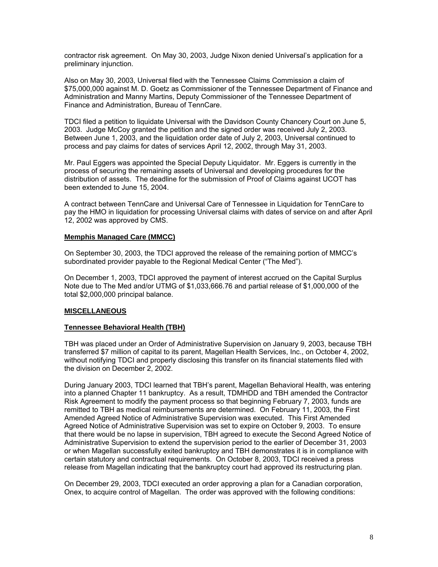contractor risk agreement. On May 30, 2003, Judge Nixon denied Universal's application for a preliminary injunction.

Also on May 30, 2003, Universal filed with the Tennessee Claims Commission a claim of \$75,000,000 against M. D. Goetz as Commissioner of the Tennessee Department of Finance and Administration and Manny Martins, Deputy Commissioner of the Tennessee Department of Finance and Administration, Bureau of TennCare.

TDCI filed a petition to liquidate Universal with the Davidson County Chancery Court on June 5, 2003. Judge McCoy granted the petition and the signed order was received July 2, 2003. Between June 1, 2003, and the liquidation order date of July 2, 2003, Universal continued to process and pay claims for dates of services April 12, 2002, through May 31, 2003.

Mr. Paul Eggers was appointed the Special Deputy Liquidator. Mr. Eggers is currently in the process of securing the remaining assets of Universal and developing procedures for the distribution of assets. The deadline for the submission of Proof of Claims against UCOT has been extended to June 15, 2004.

A contract between TennCare and Universal Care of Tennessee in Liquidation for TennCare to pay the HMO in liquidation for processing Universal claims with dates of service on and after April 12, 2002 was approved by CMS.

#### **Memphis Managed Care (MMCC)**

On September 30, 2003, the TDCI approved the release of the remaining portion of MMCC's subordinated provider payable to the Regional Medical Center ("The Med").

On December 1, 2003, TDCI approved the payment of interest accrued on the Capital Surplus Note due to The Med and/or UTMG of \$1,033,666.76 and partial release of \$1,000,000 of the total \$2,000,000 principal balance.

#### **MISCELLANEOUS**

#### **Tennessee Behavioral Health (TBH)**

TBH was placed under an Order of Administrative Supervision on January 9, 2003, because TBH transferred \$7 million of capital to its parent, Magellan Health Services, Inc., on October 4, 2002, without notifying TDCI and properly disclosing this transfer on its financial statements filed with the division on December 2, 2002.

During January 2003, TDCI learned that TBH's parent, Magellan Behavioral Health, was entering into a planned Chapter 11 bankruptcy. As a result, TDMHDD and TBH amended the Contractor Risk Agreement to modify the payment process so that beginning February 7, 2003, funds are remitted to TBH as medical reimbursements are determined. On February 11, 2003, the First Amended Agreed Notice of Administrative Supervision was executed. This First Amended Agreed Notice of Administrative Supervision was set to expire on October 9, 2003. To ensure that there would be no lapse in supervision, TBH agreed to execute the Second Agreed Notice of Administrative Supervision to extend the supervision period to the earlier of December 31, 2003 or when Magellan successfully exited bankruptcy and TBH demonstrates it is in compliance with certain statutory and contractual requirements. On October 8, 2003, TDCI received a press release from Magellan indicating that the bankruptcy court had approved its restructuring plan.

On December 29, 2003, TDCI executed an order approving a plan for a Canadian corporation, Onex, to acquire control of Magellan. The order was approved with the following conditions: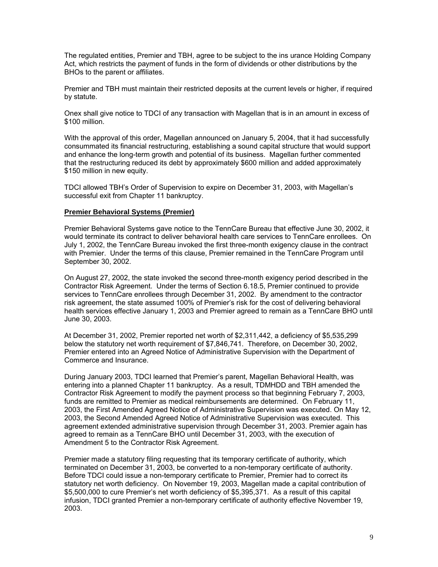The regulated entities, Premier and TBH, agree to be subject to the ins urance Holding Company Act, which restricts the payment of funds in the form of dividends or other distributions by the BHOs to the parent or affiliates.

Premier and TBH must maintain their restricted deposits at the current levels or higher, if required by statute.

Onex shall give notice to TDCI of any transaction with Magellan that is in an amount in excess of \$100 million.

With the approval of this order, Magellan announced on January 5, 2004, that it had successfully consummated its financial restructuring, establishing a sound capital structure that would support and enhance the long-term growth and potential of its business. Magellan further commented that the restructuring reduced its debt by approximately \$600 million and added approximately \$150 million in new equity.

TDCI allowed TBH's Order of Supervision to expire on December 31, 2003, with Magellan's successful exit from Chapter 11 bankruptcy.

#### **Premier Behavioral Systems (Premier)**

Premier Behavioral Systems gave notice to the TennCare Bureau that effective June 30, 2002, it would terminate its contract to deliver behavioral health care services to TennCare enrollees. On July 1, 2002, the TennCare Bureau invoked the first three-month exigency clause in the contract with Premier. Under the terms of this clause, Premier remained in the TennCare Program until September 30, 2002.

On August 27, 2002, the state invoked the second three-month exigency period described in the Contractor Risk Agreement. Under the terms of Section 6.18.5, Premier continued to provide services to TennCare enrollees through December 31, 2002. By amendment to the contractor risk agreement, the state assumed 100% of Premier's risk for the cost of delivering behavioral health services effective January 1, 2003 and Premier agreed to remain as a TennCare BHO until June 30, 2003.

At December 31, 2002, Premier reported net worth of \$2,311,442, a deficiency of \$5,535,299 below the statutory net worth requirement of \$7,846,741. Therefore, on December 30, 2002, Premier entered into an Agreed Notice of Administrative Supervision with the Department of Commerce and Insurance.

During January 2003, TDCI learned that Premier's parent, Magellan Behavioral Health, was entering into a planned Chapter 11 bankruptcy. As a result, TDMHDD and TBH amended the Contractor Risk Agreement to modify the payment process so that beginning February 7, 2003, funds are remitted to Premier as medical reimbursements are determined. On February 11, 2003, the First Amended Agreed Notice of Administrative Supervision was executed. On May 12, 2003, the Second Amended Agreed Notice of Administrative Supervision was executed. This agreement extended administrative supervision through December 31, 2003. Premier again has agreed to remain as a TennCare BHO until December 31, 2003, with the execution of Amendment 5 to the Contractor Risk Agreement.

Premier made a statutory filing requesting that its temporary certificate of authority, which terminated on December 31, 2003, be converted to a non-temporary certificate of authority. Before TDCI could issue a non-temporary certificate to Premier, Premier had to correct its statutory net worth deficiency. On November 19, 2003, Magellan made a capital contribution of \$5,500,000 to cure Premier's net worth deficiency of \$5,395,371. As a result of this capital infusion, TDCI granted Premier a non-temporary certificate of authority effective November 19, 2003.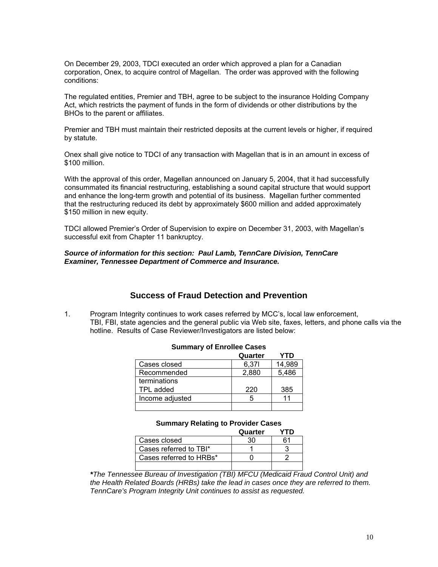On December 29, 2003, TDCI executed an order which approved a plan for a Canadian corporation, Onex, to acquire control of Magellan. The order was approved with the following conditions:

The regulated entities, Premier and TBH, agree to be subject to the insurance Holding Company Act, which restricts the payment of funds in the form of dividends or other distributions by the BHOs to the parent or affiliates.

Premier and TBH must maintain their restricted deposits at the current levels or higher, if required by statute.

Onex shall give notice to TDCI of any transaction with Magellan that is in an amount in excess of \$100 million.

With the approval of this order, Magellan announced on January 5, 2004, that it had successfully consummated its financial restructuring, establishing a sound capital structure that would support and enhance the long-term growth and potential of its business. Magellan further commented that the restructuring reduced its debt by approximately \$600 million and added approximately \$150 million in new equity.

TDCI allowed Premier's Order of Supervision to expire on December 31, 2003, with Magellan's successful exit from Chapter 11 bankruptcy.

#### *Source of information for this section: Paul Lamb, TennCare Division, TennCare Examiner, Tennessee Department of Commerce and Insurance.*

# **Success of Fraud Detection and Prevention**

1. Program Integrity continues to work cases referred by MCC's, local law enforcement, TBI, FBI, state agencies and the general public via Web site, faxes, letters, and phone calls via the hotline. Results of Case Reviewer/Investigators are listed below:

|                 | Quarter | /TD    |
|-----------------|---------|--------|
| Cases closed    | 6,371   | 14,989 |
| Recommended     | 2,880   | 5,486  |
| terminations    |         |        |
| TPL added       | 220     | 385    |
| Income adjusted |         |        |
|                 |         |        |

#### **Summary of Enrollee Cases**

#### **Summary Relating to Provider Cases**

|                         | Quarter |  |
|-------------------------|---------|--|
| Cases closed            |         |  |
| Cases referred to TBI*  |         |  |
| Cases referred to HRBs* |         |  |
|                         |         |  |

*\*The Tennessee Bureau of Investigation (TBI) MFCU (Medicaid Fraud Control Unit) and the Health Related Boards (HRBs) take the lead in cases once they are referred to them. TennCare's Program Integrity Unit continues to assist as requested.*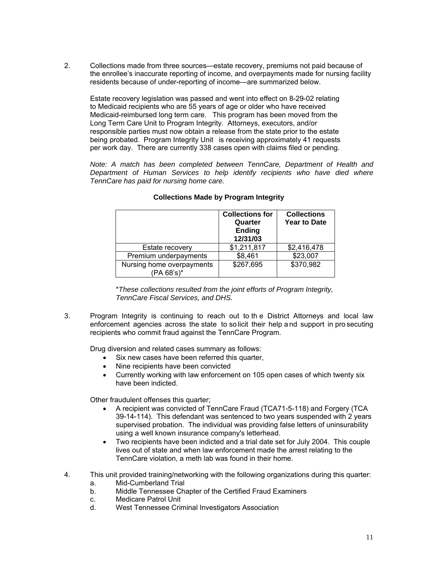2. Collections made from three sources—estate recovery, premiums not paid because of the enrollee's inaccurate reporting of income, and overpayments made for nursing facility residents because of under-reporting of income—are summarized below.

 Estate recovery legislation was passed and went into effect on 8-29-02 relating to Medicaid recipients who are 55 years of age or older who have received Medicaid-reimbursed long term care. This program has been moved from the Long Term Care Unit to Program Integrity. Attorneys, executors, and/or responsible parties must now obtain a release from the state prior to the estate being probated. Program Integrity Unit is receiving approximately 41 requests per work day. There are currently 338 cases open with claims filed or pending.

*Note: A match has been completed between TennCare, Department of Health and Department of Human Services to help identify recipients who have died where TennCare has paid for nursing home care.* 

|                                         | <b>Collections for</b><br>Quarter<br><b>Ending</b><br>12/31/03 | <b>Collections</b><br><b>Year to Date</b> |
|-----------------------------------------|----------------------------------------------------------------|-------------------------------------------|
| Estate recovery                         | \$1,211,817                                                    | \$2,416,478                               |
| Premium underpayments                   | \$8,461                                                        | \$23,007                                  |
| Nursing home overpayments<br>(PA 68's)* | \$267,695                                                      | \$370,982                                 |

#### **Collections Made by Program Integrity**

 \**These collections resulted from the joint efforts of Program Integrity, TennCare Fiscal Services, and DHS.* 

3. Program Integrity is continuing to reach out to th e District Attorneys and local law enforcement agencies across the state to so licit their help a nd support in pro secuting recipients who commit fraud against the TennCare Program.

Drug diversion and related cases summary as follows:

- Six new cases have been referred this quarter,
- Nine recipients have been convicted
- Currently working with law enforcement on 105 open cases of which twenty six have been indicted.

Other fraudulent offenses this quarter;

- A recipient was convicted of TennCare Fraud (TCA71-5-118) and Forgery (TCA 39-14-114). This defendant was sentenced to two years suspended with 2 years supervised probation. The individual was providing false letters of uninsurability using a well known insurance company's letterhead.
- Two recipients have been indicted and a trial date set for July 2004. This couple lives out of state and when law enforcement made the arrest relating to the TennCare violation, a meth lab was found in their home.
- 4. This unit provided training/networking with the following organizations during this quarter:
	- a. Mid-Cumberland Trial
	- b. Middle Tennessee Chapter of the Certified Fraud Examiners
	- c. Medicare Patrol Unit<br>d. West Tennessee Crin
	- West Tennessee Criminal Investigators Association